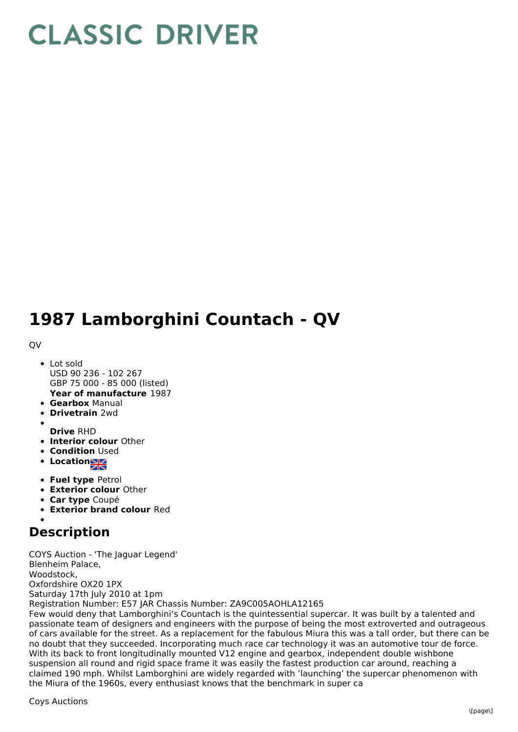## **CLASSIC DRIVER**

## **1987 Lamborghini Countach - QV**

**OV** 

- **Year of manufacture** 1987 Lot sold USD 90 236 - 102 267 GBP 75 000 - 85 000 (listed)
- **Gearbox** Manual
- **Drivetrain** 2wd
- **Drive** RHD
- **Interior colour** Other
- **Condition Used**
- Location
- **Fuel type** Petrol
- **Exterior colour** Other
- **Car type** Coupé
- **Exterior brand colour** Red

## **Description**

COYS Auction - 'The Jaguar Legend' Blenheim Palace, Woodstock, Oxfordshire OX20 1PX Saturday 17th July 2010 at 1pm

Registration Number: E57 JAR Chassis Number: ZA9C005AOHLA12165

Few would deny that Lamborghini's Countach is the quintessential supercar. It was built by a talented and passionate team of designers and engineers with the purpose of being the most extroverted and outrageous of cars available for the street. As a replacement for the fabulous Miura this was a tall order, but there can be no doubt that they succeeded. Incorporating much race car technology it was an automotive tour de force. With its back to front longitudinally mounted V12 engine and gearbox, independent double wishbone suspension all round and rigid space frame it was easily the fastest production car around, reaching a claimed 190 mph. Whilst Lamborghini are widely regarded with 'launching' the supercar phenomenon with the Miura of the 1960s, every enthusiast knows that the benchmark in super ca

Coys Auctions